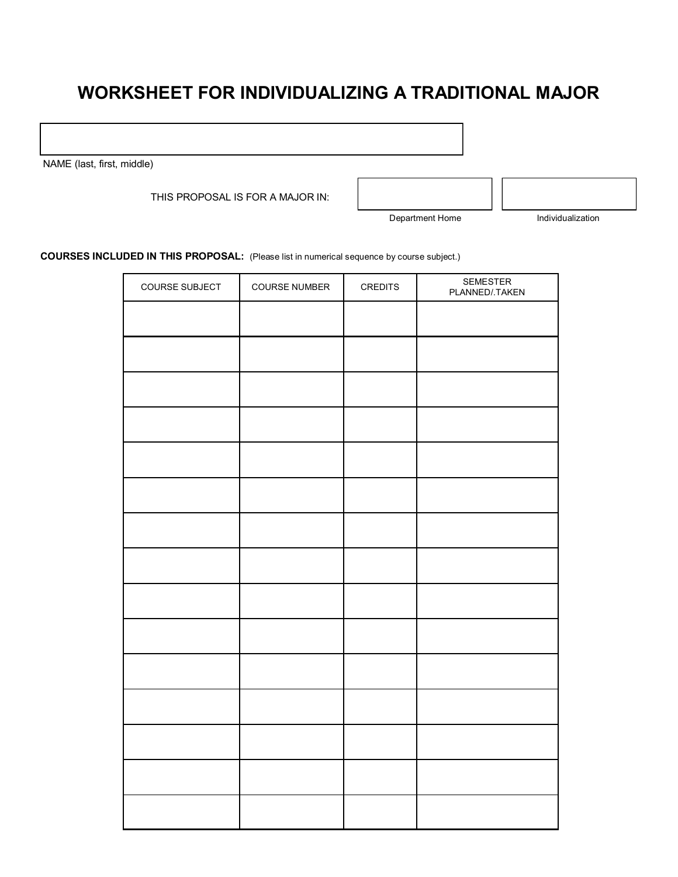## **WORKSHEET FOR INDIVIDUALIZING A TRADITIONAL MAJOR**

NAME (last, first, middle)

THIS PROPOSAL IS FOR A MAJOR IN:

Department Home Individualization

**COURSES INCLUDED IN THIS PROPOSAL:** (Please list in numerical sequence by course subject.)

| COURSE SUBJECT | <b>COURSE NUMBER</b> | <b>CREDITS</b> | SEMESTER<br>PLANNED/.TAKEN |
|----------------|----------------------|----------------|----------------------------|
|                |                      |                |                            |
|                |                      |                |                            |
|                |                      |                |                            |
|                |                      |                |                            |
|                |                      |                |                            |
|                |                      |                |                            |
|                |                      |                |                            |
|                |                      |                |                            |
|                |                      |                |                            |
|                |                      |                |                            |
|                |                      |                |                            |
|                |                      |                |                            |
|                |                      |                |                            |
|                |                      |                |                            |
|                |                      |                |                            |